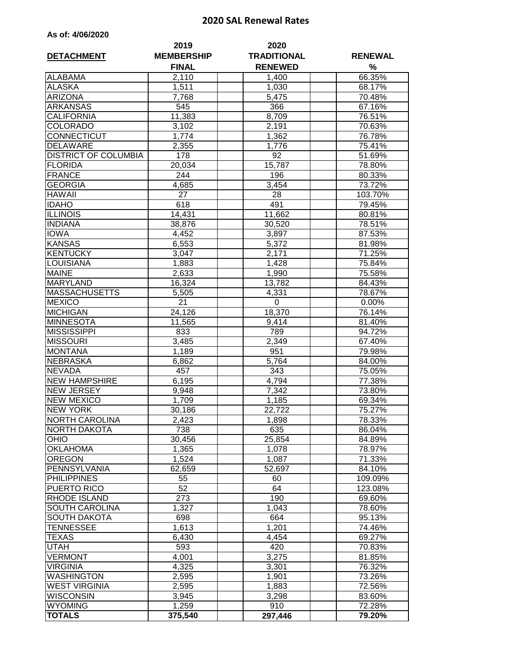## **2020 SAL Renewal Rates**

|  |  |  | As of: 4/06/2020 |
|--|--|--|------------------|
|--|--|--|------------------|

| <b>DETACHMENT</b>           | 2019<br><b>MEMBERSHIP</b><br><b>FINAL</b> | 2020<br><b>TRADITIONAL</b><br><b>RENEWED</b> | <b>RENEWAL</b><br>% |
|-----------------------------|-------------------------------------------|----------------------------------------------|---------------------|
| <b>ALABAMA</b>              | 2,110                                     | 1,400                                        | 66.35%              |
| <b>ALASKA</b>               | 1,511                                     | 1,030                                        | 68.17%              |
| <b>ARIZONA</b>              | 7,768                                     | 5,475                                        | 70.48%              |
| <b>ARKANSAS</b>             | 545                                       | 366                                          | 67.16%              |
| <b>CALIFORNIA</b>           | 11,383                                    | 8,709                                        | 76.51%              |
| <b>COLORADO</b>             | 3,102                                     | 2,191                                        | 70.63%              |
| <b>CONNECTICUT</b>          | 1,774                                     | 1,362                                        | 76.78%              |
| <b>DELAWARE</b>             | 2,355                                     | 1,776                                        | 75.41%              |
| <b>DISTRICT OF COLUMBIA</b> | 178                                       | 92                                           | 51.69%              |
| <b>FLORIDA</b>              | 20,034                                    | 15,787                                       | 78.80%              |
| <b>FRANCE</b>               | 244                                       | 196                                          | 80.33%              |
| <b>GEORGIA</b>              | 4,685                                     | 3,454                                        | 73.72%              |
| <b>HAWAII</b>               | 27                                        | 28                                           | 103.70%             |
| <b>IDAHO</b>                | 618                                       | 491                                          | 79.45%              |
| <b>ILLINOIS</b>             | 14,431                                    | 11,662                                       | 80.81%              |
| <b>INDIANA</b>              | 38,876                                    | 30,520                                       | 78.51%              |
| <b>IOWA</b>                 | 4,452                                     | 3,897                                        | 87.53%              |
| <b>KANSAS</b>               | 6,553                                     | 5,372                                        | 81.98%              |
| KENTUCKY                    | 3,047                                     | 2,171                                        | 71.25%              |
| <b>LOUISIANA</b>            | 1,883                                     | 1,428                                        | 75.84%              |
| <b>MAINE</b>                | 2,633                                     | 1,990                                        | 75.58%              |
| <b>MARYLAND</b>             | 16,324                                    | 13,782                                       | 84.43%              |
| <b>MASSACHUSETTS</b>        | 5,505                                     | 4,331                                        | 78.67%              |
| <b>MEXICO</b>               | $\overline{2}1$                           | 0                                            | 0.00%               |
| <b>MICHIGAN</b>             | 24,126                                    | 18,370                                       | 76.14%              |
| <b>MINNESOTA</b>            | 11,565                                    | 9,414                                        | 81.40%              |
| <b>MISSISSIPPI</b>          | 833                                       | 789                                          | 94.72%              |
| <b>MISSOURI</b>             | 3,485                                     | 2,349                                        | 67.40%              |
| <b>MONTANA</b>              | 1,189                                     | 951                                          | 79.98%              |
| <b>NEBRASKA</b>             | 6,862                                     | 5,764                                        | 84.00%              |
| <b>NEVADA</b>               | 457                                       | 343                                          | 75.05%              |
| <b>NEW HAMPSHIRE</b>        | 6,195                                     | 4,794                                        | 77.38%              |
| <b>NEW JERSEY</b>           | 9,948                                     | 7,342                                        | 73.80%              |
| <b>NEW MEXICO</b>           | 1,709                                     | 1,185                                        | 69.34%              |
| <b>NEW YORK</b>             | 30,186                                    | 22,722                                       | 75.27%              |
| <b>NORTH CAROLINA</b>       | 2,423                                     | 1,898                                        | 78.33%              |
| <b>NORTH DAKOTA</b>         | 738                                       | 635                                          | 86.04%              |
| <b>OHIO</b>                 | 30,456                                    | 25,854                                       | 84.89%              |
| <b>OKLAHOMA</b>             | 1,365                                     | 1,078                                        | 78.97%              |
| <b>OREGON</b>               | 1,524                                     | 1,087                                        | 71.33%              |
| PENNSYLVANIA                | 62,659                                    | 52,697                                       | 84.10%              |
| <b>PHILIPPINES</b>          | 55                                        | 60                                           | 109.09%             |
| <b>PUERTO RICO</b>          | 52                                        | 64                                           | 123.08%             |
| <b>RHODE ISLAND</b>         | 273                                       | 190                                          | 69.60%              |
| <b>SOUTH CAROLINA</b>       | 1,327                                     | 1,043                                        | 78.60%              |
| <b>SOUTH DAKOTA</b>         | 698                                       | 664                                          | 95.13%              |
| <b>TENNESSEE</b>            | 1,613                                     | 1,201                                        | 74.46%              |
| <b>TEXAS</b>                | 6,430                                     | 4,454                                        | 69.27%              |
| <b>UTAH</b>                 | 593                                       | 420                                          | 70.83%              |
| <b>VERMONT</b>              | 4,001                                     | 3,275                                        | 81.85%              |
| <b>VIRGINIA</b>             | 4,325                                     | 3,301                                        | 76.32%              |
| <b>WASHINGTON</b>           | 2,595                                     | 1,901                                        | 73.26%              |
| <b>WEST VIRGINIA</b>        | 2,595                                     | 1,883                                        | 72.56%              |
| <b>WISCONSIN</b>            | 3,945                                     | 3,298                                        | 83.60%              |
| <b>WYOMING</b>              | 1,259                                     | 910                                          | 72.28%              |
| <b>TOTALS</b>               | 375,540                                   | 297,446                                      | 79.20%              |